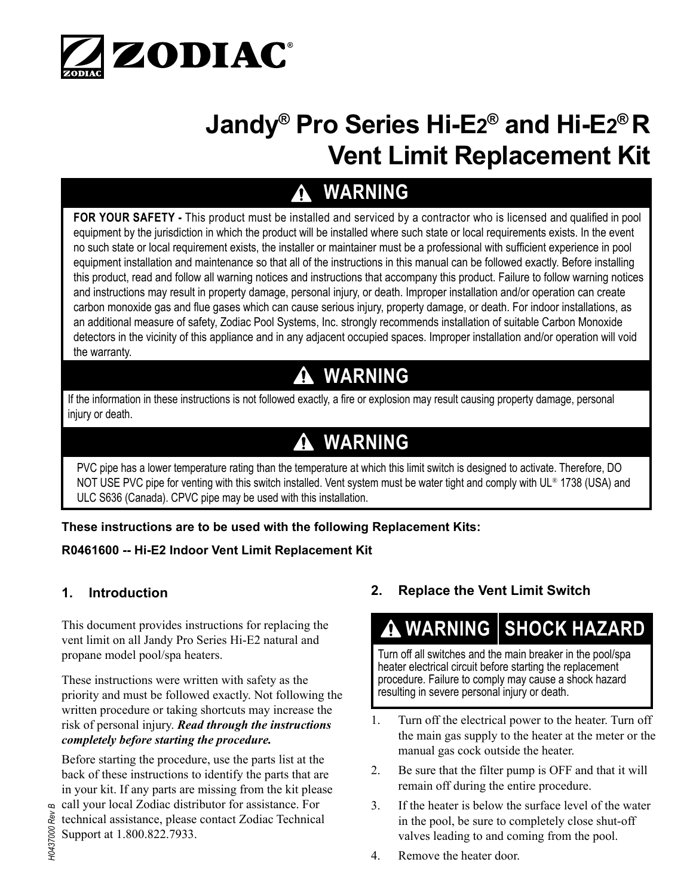

# **Jandy® Pro Series Hi-E2® and Hi-E2® R Vent Limit Replacement Kit**

# **WARNING**

**FOR YOUR SAFETY -** This product must be installed and serviced by a contractor who is licensed and qualified in pool equipment by the jurisdiction in which the product will be installed where such state or local requirements exists. In the event no such state or local requirement exists, the installer or maintainer must be a professional with sufficient experience in pool equipment installation and maintenance so that all of the instructions in this manual can be followed exactly. Before installing this product, read and follow all warning notices and instructions that accompany this product. Failure to follow warning notices and instructions may result in property damage, personal injury, or death. Improper installation and/or operation can create carbon monoxide gas and flue gases which can cause serious injury, property damage, or death. For indoor installations, as an additional measure of safety, Zodiac Pool Systems, Inc. strongly recommends installation of suitable Carbon Monoxide detectors in the vicinity of this appliance and in any adjacent occupied spaces. Improper installation and/or operation will void the warranty.

### **WARNING**

If the information in these instructions is not followed exactly, a fire or explosion may result causing property damage, personal injury or death.

## **WARNING**

PVC pipe has a lower temperature rating than the temperature at which this limit switch is designed to activate. Therefore, DO NOT USE PVC pipe for venting with this switch installed. Vent system must be water tight and comply with UL® 1738 (USA) and ULC S636 (Canada). CPVC pipe may be used with this installation.

**These instructions are to be used with the following Replacement Kits:**

#### **R0461600 -- Hi-E2 Indoor Vent Limit Replacement Kit**

#### **1. Introduction**

This document provides instructions for replacing the vent limit on all Jandy Pro Series Hi-E2 natural and propane model pool/spa heaters.

These instructions were written with safety as the priority and must be followed exactly. Not following the written procedure or taking shortcuts may increase the risk of personal injury. *Read through the instructions completely before starting the procedure.* 

Before starting the procedure, use the parts list at the back of these instructions to identify the parts that are in your kit. If any parts are missing from the kit please call your local Zodiac distributor for assistance. For technical assistance, please contact Zodiac Technical Support at 1.800.822.7933.

#### **2. Replace the Vent Limit Switch**

### **A WARNING SHOCK HAZARD**

Turn off all switches and the main breaker in the pool/spa heater electrical circuit before starting the replacement procedure. Failure to comply may cause a shock hazard resulting in severe personal injury or death.

- 1. Turn off the electrical power to the heater. Turn off the main gas supply to the heater at the meter or the manual gas cock outside the heater.
- 2. Be sure that the filter pump is OFF and that it will remain off during the entire procedure.
- 3. If the heater is below the surface level of the water in the pool, be sure to completely close shut-off valves leading to and coming from the pool.
- 4. Remove the heater door.